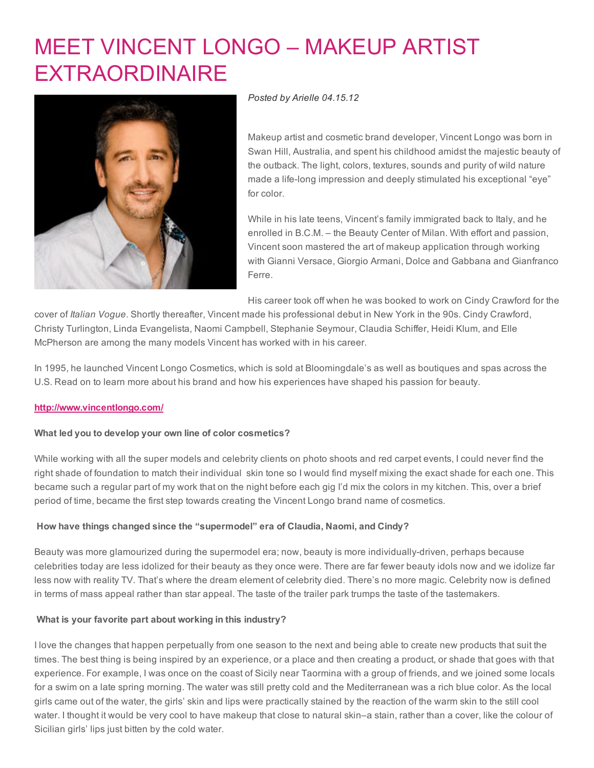# MEET VINCENT LONGO – MAKEUP ARTIST **[EXTRAORDINAIRE](http://www.beautyinthebag.com/wordpress/meet-vincent-longo-makeup-artist-extraordinaire/)**



### *Posted by [Arielle](http://www.beautyinthebag.com/wordpress/author/arielle/) 04.15.12*

Makeup artist and cosmetic brand developer, Vincent Longo was born in Swan Hill, Australia, and spent his childhood amidst the majestic beauty of the outback. The light, colors, textures, sounds and purity of wild nature made a life-long impression and deeply stimulated his exceptional "eye" for color.

While in his late teens, Vincent's family immigrated back to Italy, and he enrolled in B.C.M. – the Beauty Center of Milan. With effort and passion, Vincent soon mastered the art of makeup application through working with Gianni Versace, Giorgio Armani, Dolce and Gabbana and Gianfranco Ferre.

His career took off when he was booked to work on Cindy Crawford for the

cover of *Italian Vogue*. Shortly thereafter, Vincent made his professional debut in New York in the 90s. Cindy Crawford, Christy Turlington, Linda Evangelista, Naomi Campbell, Stephanie Seymour, Claudia Schiffer, Heidi Klum, and Elle McPherson are among the many models Vincent has worked with in his career.

In 1995, he launched Vincent Longo Cosmetics, which is sold at Bloomingdale's as well as boutiques and spas across the U.S. Read on to learn more about his brand and how his experiences have shaped his passion for beauty.

### [http://www.vincentlongo.com/](http://vincentlongo.com/)

### What led you to develop your own line of color cosmetics?

While working with all the super models and celebrity clients on photo shoots and red carpet events, I could never find the right shade of foundation to match their individual skin tone so I would find myself mixing the exact shade for each one. This became such a regular part of my work that on the night before each gig I'd mix the colors in my kitchen. This, over a brief period of time, became the first step towards creating the Vincent Longo brand name of cosmetics.

## How have things changed since the "supermodel" era of Claudia, Naomi, and Cindy?

Beauty was more glamourized during the supermodel era; now, beauty is more individually-driven, perhaps because celebrities today are less idolized for their beauty as they once were. There are far fewer beauty idols now and we idolize far less now with reality TV. That's where the dream element of celebrity died. There's no more magic. Celebrity now is defined in terms of mass appeal rather than star appeal. The taste of the trailer park trumps the taste of the tastemakers.

### What is your favorite part about working in this industry?

I love the changes that happen perpetually from one season to the next and being able to create new products that suit the times. The best thing is being inspired by an experience, or a place and then creating a product, or shade that goes with that experience. For example, I was once on the coast of Sicily near Taormina with a group of friends, and we joined some locals for a swim on a late spring morning. The water was still pretty cold and the Mediterranean was a rich blue color. As the local girls came out of the water, the girls' skin and lips were practically stained by the reaction of the warm skin to the still cool water. I thought it would be very cool to have makeup that close to natural skin–a stain, rather than a cover, like the colour of Sicilian girls' lips just bitten by the cold water.